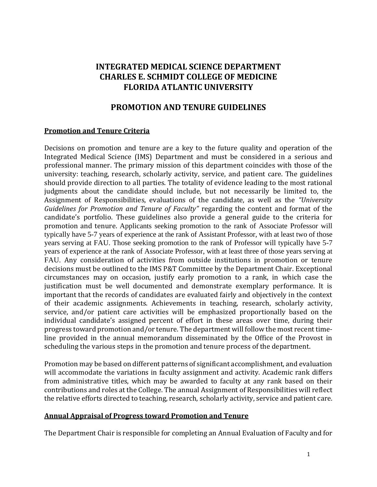# **INTEGRATED MEDICAL SCIENCE DEPARTMENT CHARLES E. SCHMIDT COLLEGE OF MEDICINE FLORIDA ATLANTIC UNIVERSITY**

# **PROMOTION AND TENURE GUIDELINES**

#### **Promotion and Tenure Criteria**

Decisions on promotion and tenure are a key to the future quality and operation of the Integrated Medical Science (IMS) Department and must be considered in a serious and professional manner. The primary mission of this department coincides with those of the university: teaching, research, scholarly activity, service, and patient care. The guidelines should provide direction to all parties. The totality of evidence leading to the most rational judgments about the candidate should include, but not necessarily be limited to, the Assignment of Responsibilities, evaluations of the candidate, as well as the *"University Guidelines for Promotion and Tenure of Faculty"* regarding the content and format of the candidate's portfolio. These guidelines also provide a general guide to the criteria for promotion and tenure. Applicants seeking promotion to the rank of Associate Professor will typically have 5-7 years of experience at the rank of Assistant Professor, with at least two of those years serving at FAU. Those seeking promotion to the rank of Professor will typically have 5-7 years of experience at the rank of Associate Professor, with at least three of those years serving at FAU. Any consideration of activities from outside institutions in promotion or tenure decisions must be outlined to the IMS P&T Committee by the Department Chair. Exceptional circumstances may on occasion, justify early promotion to a rank, in which case the justification must be well documented and demonstrate exemplary performance. It is important that the records of candidates are evaluated fairly and objectively in the context of their academic assignments. Achievements in teaching, research, scholarly activity, service, and/or patient care activities will be emphasized proportionally based on the individual candidate's assigned percent of effort in these areas over time, during their progress toward promotion and/or tenure. The department will follow the most recent timeline provided in the annual memorandum disseminated by the Office of the Provost in scheduling the various steps in the promotion and tenure process of the department.

Promotion may be based on different patterns of significant accomplishment, and evaluation will accommodate the variations in faculty assignment and activity. Academic rank differs from administrative titles, which may be awarded to faculty at any rank based on their contributions and roles at the College. The annual Assignment of Responsibilities will reflect the relative efforts directed to teaching, research, scholarly activity, service and patient care.

## **Annual Appraisal of Progress toward Promotion and Tenure**

The Department Chair is responsible for completing an Annual Evaluation of Faculty and for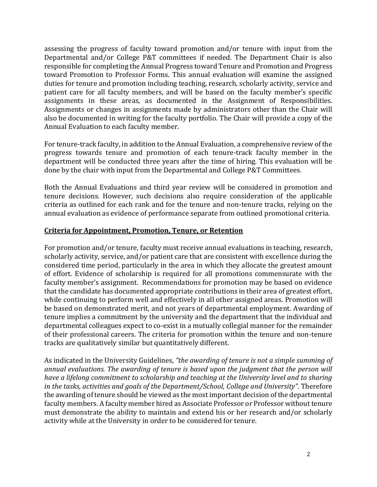assessing the progress of faculty toward promotion and/or tenure with input from the Departmental and/or College P&T committees if needed. The Department Chair is also responsible for completing the Annual Progress toward Tenure and Promotion and Progress toward Promotion to Professor Forms. This annual evaluation will examine the assigned duties for tenure and promotion including teaching, research, scholarly activity, service and patient care for all faculty members, and will be based on the faculty member's specific assignments in these areas, as documented in the Assignment of Responsibilities. Assignments or changes in assignments made by administrators other than the Chair will also be documented in writing for the faculty portfolio. The Chair will provide a copy of the Annual Evaluation to each faculty member.

For tenure-track faculty, in addition to the Annual Evaluation, a comprehensive review of the progress towards tenure and promotion of each tenure-track faculty member in the department will be conducted three years after the time of hiring. This evaluation will be done by the chair with input from the Departmental and College P&T Committees.

Both the Annual Evaluations and third year review will be considered in promotion and tenure decisions. However, such decisions also require consideration of the applicable criteria as outlined for each rank and for the tenure and non-tenure tracks, relying on the annual evaluation as evidence of performance separate from outlined promotional criteria.

## **Criteria for Appointment, Promotion, Tenure, or Retention**

For promotion and/or tenure, faculty must receive annual evaluations in teaching, research, scholarly activity, service, and/or patient care that are consistent with excellence during the considered time period, particularly in the area in which they allocate the greatest amount of effort. Evidence of scholarship is required for all promotions commensurate with the faculty member's assignment. Recommendations for promotion may be based on evidence that the candidate has documented appropriate contributions in their area of greatest effort, while continuing to perform well and effectively in all other assigned areas. Promotion will be based on demonstrated merit, and not years of departmental employment. Awarding of tenure implies a commitment by the university and the department that the individual and departmental colleagues expect to co-exist in a mutually collegial manner for the remainder of their professional careers. The criteria for promotion within the tenure and non-tenure tracks are qualitatively similar but quantitatively different.

As indicated in the University Guidelines, *"the awarding of tenure is not a simple summing of annual evaluations. The awarding of tenure is based upon the judgment that the person will have a lifelong commitment to scholarship and teaching at the University level and to sharing in the tasks, activities and goals of the Department/School, College and University"*. Therefore the awarding of tenure should be viewed as the most important decision of the departmental faculty members*.* A faculty member hired as Associate Professor or Professor without tenure must demonstrate the ability to maintain and extend his or her research and/or scholarly activity while at the University in order to be considered for tenure.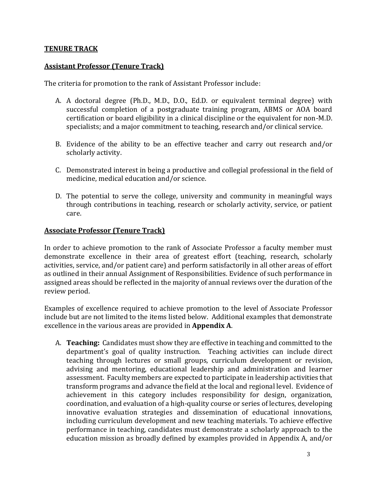## **TENURE TRACK**

#### **Assistant Professor (Tenure Track)**

The criteria for promotion to the rank of Assistant Professor include:

- A. A doctoral degree (Ph.D., M.D., D.O., Ed.D. or equivalent terminal degree) with successful completion of a postgraduate training program, ABMS or AOA board certification or board eligibility in a clinical discipline or the equivalent for non-M.D. specialists; and a major commitment to teaching, research and/or clinical service.
- B. Evidence of the ability to be an effective teacher and carry out research and/or scholarly activity.
- C. Demonstrated interest in being a productive and collegial professional in the field of medicine, medical education and/or science.
- D. The potential to serve the college, university and community in meaningful ways through contributions in teaching, research or scholarly activity, service, or patient care.

#### **Associate Professor (Tenure Track)**

In order to achieve promotion to the rank of Associate Professor a faculty member must demonstrate excellence in their area of greatest effort (teaching, research, scholarly activities, service, and/or patient care) and perform satisfactorily in all other areas of effort as outlined in their annual Assignment of Responsibilities. Evidence of such performance in assigned areas should be reflected in the majority of annual reviews over the duration of the review period.

Examples of excellence required to achieve promotion to the level of Associate Professor include but are not limited to the items listed below. Additional examples that demonstrate excellence in the various areas are provided in **Appendix A**.

A. **Teaching:** Candidates must show they are effective in teaching and committed to the department's goal of quality instruction. Teaching activities can include direct teaching through lectures or small groups, curriculum development or revision, advising and mentoring, educational leadership and administration and learner assessment. Faculty members are expected to participate in leadership activities that transform programs and advance the field at the local and regional level. Evidence of achievement in this category includes responsibility for design, organization, coordination, and evaluation of a high-quality course or series of lectures, developing innovative evaluation strategies and dissemination of educational innovations, including curriculum development and new teaching materials. To achieve effective performance in teaching, candidates must demonstrate a scholarly approach to the education mission as broadly defined by examples provided in Appendix A, and/or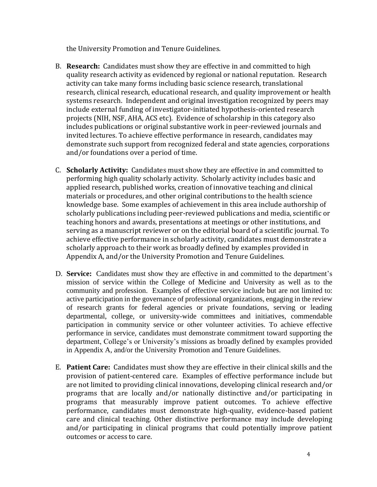the University Promotion and Tenure Guidelines.

- B. **Research:** Candidates must show they are effective in and committed to high quality research activity as evidenced by regional or national reputation. Research activity can take many forms including basic science research, translational research, clinical research, educational research, and quality improvement or health systems research. Independent and original investigation recognized by peers may include external funding of investigator-initiated hypothesis-oriented research projects (NIH, NSF, AHA, ACS etc). Evidence of scholarship in this category also includes publications or original substantive work in peer-reviewed journals and invited lectures. To achieve effective performance in research, candidates may demonstrate such support from recognized federal and state agencies, corporations and/or foundations over a period of time.
- C. **Scholarly Activity:** Candidates must show they are effective in and committed to performing high quality scholarly activity. Scholarly activity includes basic and applied research, published works, creation of innovative teaching and clinical materials or procedures, and other original contributions to the health science knowledge base. Some examples of achievement in this area include authorship of scholarly publications including peer-reviewed publications and media, scientific or teaching honors and awards, presentations at meetings or other institutions, and serving as a manuscript reviewer or on the editorial board of a scientific journal. To achieve effective performance in scholarly activity, candidates must demonstrate a scholarly approach to their work as broadly defined by examples provided in Appendix A, and/or the University Promotion and Tenure Guidelines.
- D. **Service:** Candidates must show they are effective in and committed to the department's mission of service within the College of Medicine and University as well as to the community and profession. Examples of effective service include but are not limited to: active participation in the governance of professional organizations, engaging in the review of research grants for federal agencies or private foundations, serving or leading departmental, college, or university-wide committees and initiatives, commendable participation in community service or other volunteer activities. To achieve effective performance in service, candidates must demonstrate commitment toward supporting the department, College's or University's missions as broadly defined by examples provided in Appendix A, and/or the University Promotion and Tenure Guidelines.
- E. **Patient Care:** Candidates must show they are effective in their clinical skills and the provision of patient-centered care. Examples of effective performance include but are not limited to providing clinical innovations, developing clinical research and/or programs that are locally and/or nationally distinctive and/or participating in programs that measurably improve patient outcomes. To achieve effective performance, candidates must demonstrate high-quality, evidence-based patient care and clinical teaching. Other distinctive performance may include developing and/or participating in clinical programs that could potentially improve patient outcomes or access to care.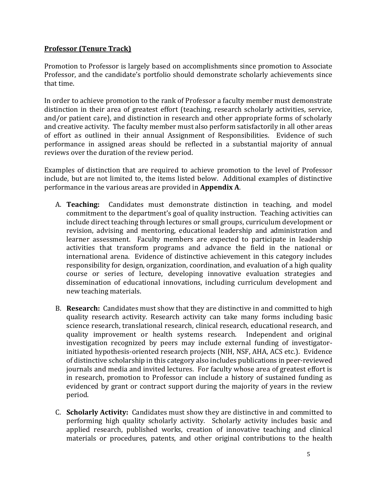## **Professor (Tenure Track)**

Promotion to Professor is largely based on accomplishments since promotion to Associate Professor, and the candidate's portfolio should demonstrate scholarly achievements since that time.

In order to achieve promotion to the rank of Professor a faculty member must demonstrate distinction in their area of greatest effort (teaching, research scholarly activities, service, and/or patient care), and distinction in research and other appropriate forms of scholarly and creative activity. The faculty member must also perform satisfactorily in all other areas of effort as outlined in their annual Assignment of Responsibilities. Evidence of such performance in assigned areas should be reflected in a substantial majority of annual reviews over the duration of the review period.

Examples of distinction that are required to achieve promotion to the level of Professor include, but are not limited to, the items listed below. Additional examples of distinctive performance in the various areas are provided in **Appendix A**.

- A. **Teaching:** Candidates must demonstrate distinction in teaching, and model commitment to the department's goal of quality instruction. Teaching activities can include direct teaching through lectures or small groups, curriculum development or revision, advising and mentoring, educational leadership and administration and learner assessment. Faculty members are expected to participate in leadership activities that transform programs and advance the field in the national or international arena. Evidence of distinctive achievement in this category includes responsibility for design, organization, coordination, and evaluation of a high quality course or series of lecture, developing innovative evaluation strategies and dissemination of educational innovations, including curriculum development and new teaching materials.
- B. **Research:** Candidates must show that they are distinctive in and committed to high quality research activity. Research activity can take many forms including basic science research, translational research, clinical research, educational research, and quality improvement or health systems research. Independent and original investigation recognized by peers may include external funding of investigatorinitiated hypothesis-oriented research projects (NIH, NSF, AHA, ACS etc.). Evidence of distinctive scholarship in this category also includes publications in peer-reviewed journals and media and invited lectures. For faculty whose area of greatest effort is in research, promotion to Professor can include a history of sustained funding as evidenced by grant or contract support during the majority of years in the review period.
- C. **Scholarly Activity:** Candidates must show they are distinctive in and committed to performing high quality scholarly activity. Scholarly activity includes basic and applied research, published works, creation of innovative teaching and clinical materials or procedures, patents, and other original contributions to the health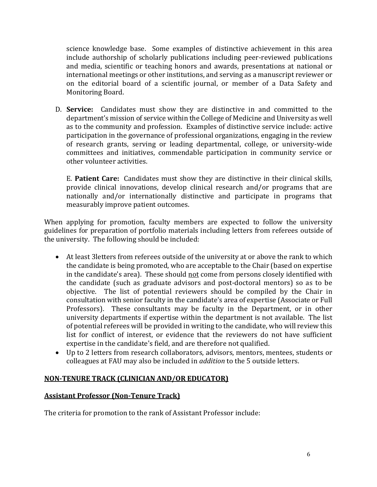science knowledge base. Some examples of distinctive achievement in this area include authorship of scholarly publications including peer-reviewed publications and media, scientific or teaching honors and awards, presentations at national or international meetings or other institutions, and serving as a manuscript reviewer or on the editorial board of a scientific journal, or member of a Data Safety and Monitoring Board.

D. **Service:** Candidates must show they are distinctive in and committed to the department's mission of service within the College of Medicine and University as well as to the community and profession. Examples of distinctive service include: active participation in the governance of professional organizations, engaging in the review of research grants, serving or leading departmental, college, or university-wide committees and initiatives, commendable participation in community service or other volunteer activities.

E. **Patient Care:** Candidates must show they are distinctive in their clinical skills, provide clinical innovations, develop clinical research and/or programs that are nationally and/or internationally distinctive and participate in programs that measurably improve patient outcomes.

When applying for promotion, faculty members are expected to follow the university guidelines for preparation of portfolio materials including letters from referees outside of the university. The following should be included:

- At least 3letters from referees outside of the university at or above the rank to which the candidate is being promoted, who are acceptable to the Chair (based on expertise in the candidate's area). These should not come from persons closely identified with the candidate (such as graduate advisors and post-doctoral mentors) so as to be objective. The list of potential reviewers should be compiled by the Chair in consultation with senior faculty in the candidate's area of expertise (Associate or Full Professors). These consultants may be faculty in the Department, or in other university departments if expertise within the department is not available. The list of potential referees will be provided in writing to the candidate, who will review this list for conflict of interest, or evidence that the reviewers do not have sufficient expertise in the candidate's field, and are therefore not qualified.
- Up to 2 letters from research collaborators, advisors, mentors, mentees, students or colleagues at FAU may also be included in *addition* to the 5 outside letters.

# **NON-TENURE TRACK (CLINICIAN AND/OR EDUCATOR)**

## **Assistant Professor (Non-Tenure Track)**

The criteria for promotion to the rank of Assistant Professor include: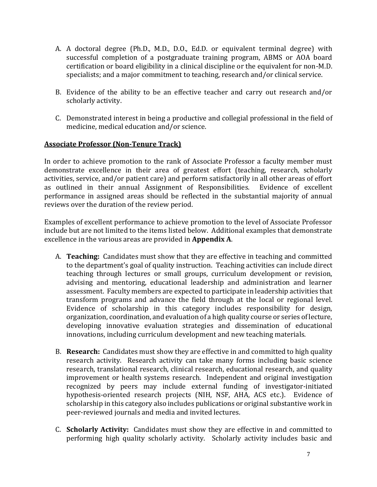- A. A doctoral degree (Ph.D., M.D., D.O., Ed.D. or equivalent terminal degree) with successful completion of a postgraduate training program, ABMS or AOA board certification or board eligibility in a clinical discipline or the equivalent for non-M.D. specialists; and a major commitment to teaching, research and/or clinical service.
- B. Evidence of the ability to be an effective teacher and carry out research and/or scholarly activity.
- C. Demonstrated interest in being a productive and collegial professional in the field of medicine, medical education and/or science.

## **Associate Professor (Non-Tenure Track)**

In order to achieve promotion to the rank of Associate Professor a faculty member must demonstrate excellence in their area of greatest effort (teaching, research, scholarly activities, service, and/or patient care) and perform satisfactorily in all other areas of effort as outlined in their annual Assignment of Responsibilities. Evidence of excellent performance in assigned areas should be reflected in the substantial majority of annual reviews over the duration of the review period.

Examples of excellent performance to achieve promotion to the level of Associate Professor include but are not limited to the items listed below. Additional examples that demonstrate excellence in the various areas are provided in **Appendix A**.

- A. **Teaching:** Candidates must show that they are effective in teaching and committed to the department's goal of quality instruction. Teaching activities can include direct teaching through lectures or small groups, curriculum development or revision, advising and mentoring, educational leadership and administration and learner assessment. Faculty members are expected to participate in leadership activities that transform programs and advance the field through at the local or regional level. Evidence of scholarship in this category includes responsibility for design, organization, coordination, and evaluation of a high quality course or series of lecture, developing innovative evaluation strategies and dissemination of educational innovations, including curriculum development and new teaching materials.
- B. **Research:** Candidates must show they are effective in and committed to high quality research activity. Research activity can take many forms including basic science research, translational research, clinical research, educational research, and quality improvement or health systems research. Independent and original investigation recognized by peers may include external funding of investigator-initiated hypothesis-oriented research projects (NIH, NSF, AHA, ACS etc.). Evidence of scholarship in this category also includes publications or original substantive work in peer-reviewed journals and media and invited lectures.
- C. **Scholarly Activity:** Candidates must show they are effective in and committed to performing high quality scholarly activity. Scholarly activity includes basic and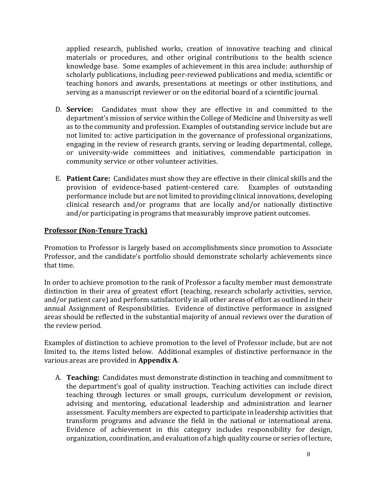applied research, published works, creation of innovative teaching and clinical materials or procedures, and other original contributions to the health science knowledge base. Some examples of achievement in this area include: authorship of scholarly publications, including peer-reviewed publications and media, scientific or teaching honors and awards, presentations at meetings or other institutions, and serving as a manuscript reviewer or on the editorial board of a scientific journal.

- D. **Service:** Candidates must show they are effective in and committed to the department's mission of service within the College of Medicine and University as well as to the community and profession. Examples of outstanding service include but are not limited to: active participation in the governance of professional organizations, engaging in the review of research grants, serving or leading departmental, college, or university-wide committees and initiatives, commendable participation in community service or other volunteer activities.
- E. **Patient Care:** Candidates must show they are effective in their clinical skills and the provision of evidence-based patient-centered care. Examples of outstanding performance include but are not limited to providing clinical innovations, developing clinical research and/or programs that are locally and/or nationally distinctive and/or participating in programs that measurably improve patient outcomes.

## **Professor (Non-Tenure Track)**

Promotion to Professor is largely based on accomplishments since promotion to Associate Professor, and the candidate's portfolio should demonstrate scholarly achievements since that time.

In order to achieve promotion to the rank of Professor a faculty member must demonstrate distinction in their area of greatest effort (teaching, research scholarly activities, service, and/or patient care) and perform satisfactorily in all other areas of effort as outlined in their annual Assignment of Responsibilities. Evidence of distinctive performance in assigned areas should be reflected in the substantial majority of annual reviews over the duration of the review period.

Examples of distinction to achieve promotion to the level of Professor include, but are not limited to, the items listed below. Additional examples of distinctive performance in the various areas are provided in **Appendix A**.

A. **Teaching:** Candidates must demonstrate distinction in teaching and commitment to the department's goal of quality instruction. Teaching activities can include direct teaching through lectures or small groups, curriculum development or revision, advising and mentoring, educational leadership and administration and learner assessment. Faculty members are expected to participate in leadership activities that transform programs and advance the field in the national or international arena. Evidence of achievement in this category includes responsibility for design, organization, coordination, and evaluation of a high quality course or series of lecture,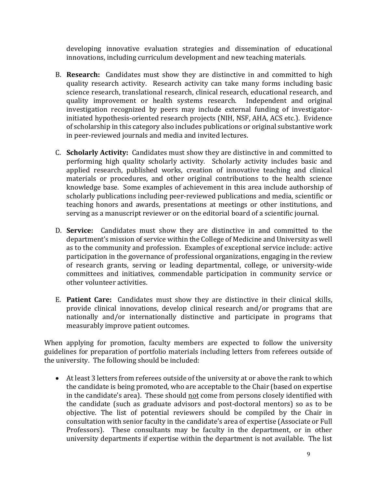developing innovative evaluation strategies and dissemination of educational innovations, including curriculum development and new teaching materials.

- B. **Research:** Candidates must show they are distinctive in and committed to high quality research activity. Research activity can take many forms including basic science research, translational research, clinical research, educational research, and quality improvement or health systems research. Independent and original investigation recognized by peers may include external funding of investigatorinitiated hypothesis-oriented research projects (NIH, NSF, AHA, ACS etc.). Evidence of scholarship in this category also includes publications or original substantive work in peer-reviewed journals and media and invited lectures.
- C. **Scholarly Activity:** Candidates must show they are distinctive in and committed to performing high quality scholarly activity. Scholarly activity includes basic and applied research, published works, creation of innovative teaching and clinical materials or procedures, and other original contributions to the health science knowledge base. Some examples of achievement in this area include authorship of scholarly publications including peer-reviewed publications and media, scientific or teaching honors and awards, presentations at meetings or other institutions, and serving as a manuscript reviewer or on the editorial board of a scientific journal.
- D. **Service:** Candidates must show they are distinctive in and committed to the department's mission of service within the College of Medicine and University as well as to the community and profession. Examples of exceptional service include: active participation in the governance of professional organizations, engaging in the review of research grants, serving or leading departmental, college, or university-wide committees and initiatives, commendable participation in community service or other volunteer activities.
- E. **Patient Care:** Candidates must show they are distinctive in their clinical skills, provide clinical innovations, develop clinical research and/or programs that are nationally and/or internationally distinctive and participate in programs that measurably improve patient outcomes.

When applying for promotion, faculty members are expected to follow the university guidelines for preparation of portfolio materials including letters from referees outside of the university. The following should be included:

• At least 3 letters from referees outside of the university at or above the rank to which the candidate is being promoted, who are acceptable to the Chair (based on expertise in the candidate's area). These should not come from persons closely identified with the candidate (such as graduate advisors and post-doctoral mentors) so as to be objective. The list of potential reviewers should be compiled by the Chair in consultation with senior faculty in the candidate's area of expertise (Associate or Full Professors). These consultants may be faculty in the department, or in other university departments if expertise within the department is not available. The list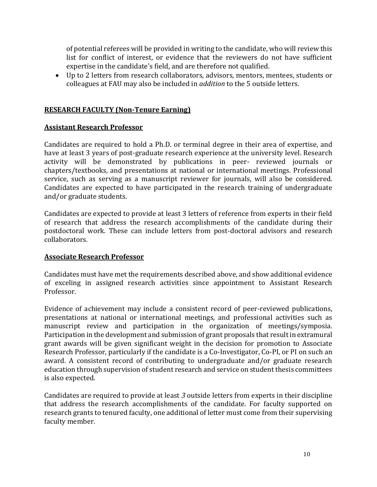of potential referees will be provided in writing to the candidate, who will review this list for conflict of interest, or evidence that the reviewers do not have sufficient expertise in the candidate's field, and are therefore not qualified.

• Up to 2 letters from research collaborators, advisors, mentors, mentees, students or colleagues at FAU may also be included in *addition* to the 5 outside letters.

## **RESEARCH FACULTY (Non-Tenure Earning)**

## **Assistant Research Professor**

Candidates are required to hold a Ph.D. or terminal degree in their area of expertise, and have at least 3 years of post-graduate research experience at the university level. Research activity will be demonstrated by publications in peer- reviewed journals or chapters/textbooks, and presentations at national or international meetings. Professional service, such as serving as a manuscript reviewer for journals, will also be considered. Candidates are expected to have participated in the research training of undergraduate and/or graduate students.

Candidates are expected to provide at least 3 letters of reference from experts in their field of research that address the research accomplishments of the candidate during their postdoctoral work. These can include letters from post-doctoral advisors and research collaborators.

## **Associate Research Professor**

Candidates must have met the requirements described above, and show additional evidence of exceling in assigned research activities since appointment to Assistant Research Professor.

Evidence of achievement may include a consistent record of peer-reviewed publications, presentations at national or international meetings, and professional activities such as manuscript review and participation in the organization of meetings/symposia. Participation in the development and submission of grant proposals that result in extramural grant awards will be given significant weight in the decision for promotion to Associate Research Professor, particularly if the candidate is a Co-Investigator, Co-PI, or PI on such an award. A consistent record of contributing to undergraduate and/or graduate research education through supervision of student research and service on student thesis committees is also expected.

Candidates are required to provide at least *3* outside letters from experts in their discipline that address the research accomplishments of the candidate. For faculty supported on research grants to tenured faculty, one additional of letter must come from their supervising faculty member.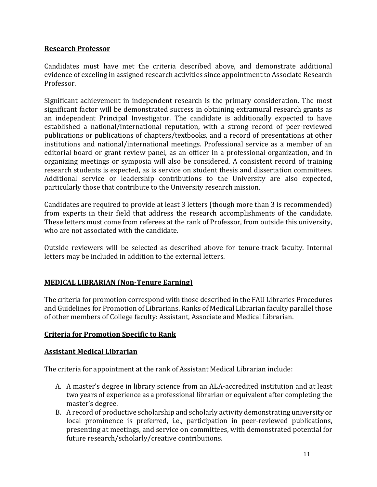## **Research Professor**

Candidates must have met the criteria described above, and demonstrate additional evidence of exceling in assigned research activities since appointment to Associate Research Professor.

Significant achievement in independent research is the primary consideration. The most significant factor will be demonstrated success in obtaining extramural research grants as an independent Principal Investigator. The candidate is additionally expected to have established a national/international reputation, with a strong record of peer-reviewed publications or publications of chapters/textbooks, and a record of presentations at other institutions and national/international meetings. Professional service as a member of an editorial board or grant review panel, as an officer in a professional organization, and in organizing meetings or symposia will also be considered. A consistent record of training research students is expected, as is service on student thesis and dissertation committees. Additional service or leadership contributions to the University are also expected, particularly those that contribute to the University research mission.

Candidates are required to provide at least 3 letters (though more than 3 is recommended) from experts in their field that address the research accomplishments of the candidate. These letters must come from referees at the rank of Professor, from outside this university, who are not associated with the candidate.

Outside reviewers will be selected as described above for tenure-track faculty. Internal letters may be included in addition to the external letters.

# **MEDICAL LIBRARIAN (Non-Tenure Earning)**

The criteria for promotion correspond with those described in the FAU Libraries Procedures and Guidelines for Promotion of Librarians. Ranks of Medical Librarian faculty parallel those of other members of College faculty: Assistant, Associate and Medical Librarian.

# **Criteria for Promotion Specific to Rank**

## **Assistant Medical Librarian**

The criteria for appointment at the rank of Assistant Medical Librarian include:

- A. A master's degree in library science from an ALA-accredited institution and at least two years of experience as a professional librarian or equivalent after completing the master's degree.
- B. A record of productive scholarship and scholarly activity demonstrating university or local prominence is preferred, i.e., participation in peer-reviewed publications, presenting at meetings, and service on committees, with demonstrated potential for future research/scholarly/creative contributions.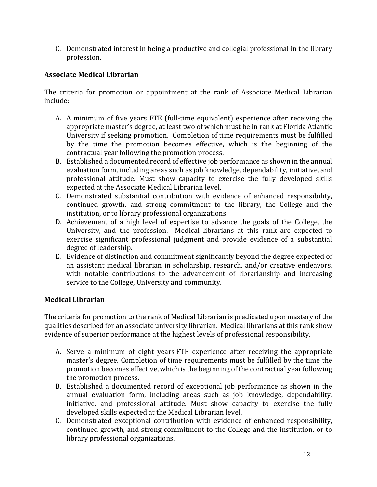C. Demonstrated interest in being a productive and collegial professional in the library profession.

# **Associate Medical Librarian**

The criteria for promotion or appointment at the rank of Associate Medical Librarian include:

- A. A minimum of five years FTE (full-time equivalent) experience after receiving the appropriate master's degree, at least two of which must be in rank at Florida Atlantic University if seeking promotion. Completion of time requirements must be fulfilled by the time the promotion becomes effective, which is the beginning of the contractual year following the promotion process.
- B. Established a documented record of effective job performance as shown in the annual evaluation form, including areas such as job knowledge, dependability, initiative, and professional attitude. Must show capacity to exercise the fully developed skills expected at the Associate Medical Librarian level.
- C. Demonstrated substantial contribution with evidence of enhanced responsibility, continued growth, and strong commitment to the library, the College and the institution, or to library professional organizations.
- D. Achievement of a high level of expertise to advance the goals of the College, the University, and the profession. Medical librarians at this rank are expected to exercise significant professional judgment and provide evidence of a substantial degree of leadership.
- E. Evidence of distinction and commitment significantly beyond the degree expected of an assistant medical librarian in scholarship, research, and/or creative endeavors, with notable contributions to the advancement of librarianship and increasing service to the College, University and community.

## **Medical Librarian**

The criteria for promotion to the rank of Medical Librarian is predicated upon mastery of the qualities described for an associate university librarian. Medical librarians at this rank show evidence of superior performance at the highest levels of professional responsibility.

- A. Serve a minimum of eight years FTE experience after receiving the appropriate master's degree. Completion of time requirements must be fulfilled by the time the promotion becomes effective, which is the beginning of the contractual year following the promotion process.
- B. Established a documented record of exceptional job performance as shown in the annual evaluation form, including areas such as job knowledge, dependability, initiative, and professional attitude. Must show capacity to exercise the fully developed skills expected at the Medical Librarian level.
- C. Demonstrated exceptional contribution with evidence of enhanced responsibility, continued growth, and strong commitment to the College and the institution, or to library professional organizations.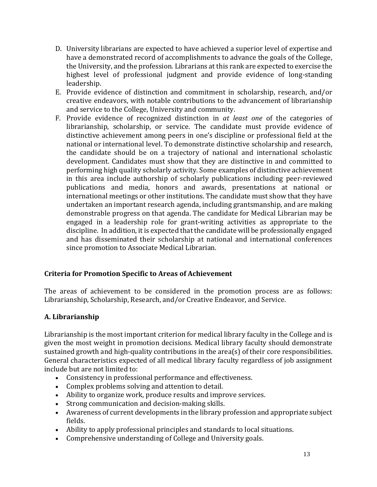- D. University librarians are expected to have achieved a superior level of expertise and have a demonstrated record of accomplishments to advance the goals of the College, the University, and the profession. Librarians at this rank are expected to exercise the highest level of professional judgment and provide evidence of long-standing leadership.
- E. Provide evidence of distinction and commitment in scholarship, research, and/or creative endeavors, with notable contributions to the advancement of librarianship and service to the College, University and community.
- F. Provide evidence of recognized distinction in *at least one* of the categories of librarianship, scholarship, or service. The candidate must provide evidence of distinctive achievement among peers in one's discipline or professional field at the national or international level. To demonstrate distinctive scholarship and research, the candidate should be on a trajectory of national and international scholastic development. Candidates must show that they are distinctive in and committed to performing high quality scholarly activity. Some examples of distinctive achievement in this area include authorship of scholarly publications including peer-reviewed publications and media, honors and awards, presentations at national or international meetings or other institutions. The candidate must show that they have undertaken an important research agenda, including grantsmanship, and are making demonstrable progress on that agenda. The candidate for Medical Librarian may be engaged in a leadership role for grant-writing activities as appropriate to the discipline. In addition, it is expected that the candidate will be professionally engaged and has disseminated their scholarship at national and international conferences since promotion to Associate Medical Librarian.

# **Criteria for Promotion Specific to Areas of Achievement**

The areas of achievement to be considered in the promotion process are as follows: Librarianship, Scholarship, Research, and/or Creative Endeavor, and Service.

# **A. Librarianship**

Librarianship is the most important criterion for medical library faculty in the College and is given the most weight in promotion decisions. Medical library faculty should demonstrate sustained growth and high-quality contributions in the area(s) of their core responsibilities. General characteristics expected of all medical library faculty regardless of job assignment include but are not limited to:

- Consistency in professional performance and effectiveness.
- Complex problems solving and attention to detail.
- Ability to organize work, produce results and improve services.
- Strong communication and decision-making skills.
- Awareness of current developments in the library profession and appropriate subject fields.
- Ability to apply professional principles and standards to local situations.
- Comprehensive understanding of College and University goals.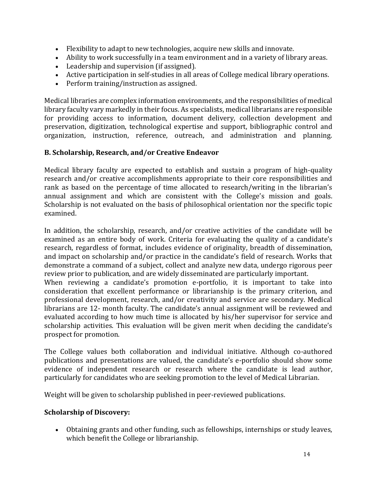- Flexibility to adapt to new technologies, acquire new skills and innovate.
- Ability to work successfully in a team environment and in a variety of library areas.
- Leadership and supervision (if assigned).
- Active participation in self-studies in all areas of College medical library operations.
- Perform training/instruction as assigned.

Medical libraries are complex information environments, and the responsibilities of medical library faculty vary markedly in their focus. As specialists, medical librarians are responsible for providing access to information, document delivery, collection development and preservation, digitization, technological expertise and support, bibliographic control and organization, instruction, reference, outreach, and administration and planning.

## **B. Scholarship, Research, and/or Creative Endeavor**

Medical library faculty are expected to establish and sustain a program of high-quality research and/or creative accomplishments appropriate to their core responsibilities and rank as based on the percentage of time allocated to research/writing in the librarian's annual assignment and which are consistent with the College's mission and goals. Scholarship is not evaluated on the basis of philosophical orientation nor the specific topic examined.

In addition, the scholarship, research, and/or creative activities of the candidate will be examined as an entire body of work. Criteria for evaluating the quality of a candidate's research, regardless of format, includes evidence of originality, breadth of dissemination, and impact on scholarship and/or practice in the candidate's field of research. Works that demonstrate a command of a subject, collect and analyze new data, undergo rigorous peer review prior to publication, and are widely disseminated are particularly important. When reviewing a candidate's promotion e-portfolio, it is important to take into

consideration that excellent performance or librarianship is the primary criterion, and professional development, research, and/or creativity and service are secondary. Medical librarians are 12- month faculty. The candidate's annual assignment will be reviewed and evaluated according to how much time is allocated by his/her supervisor for service and scholarship activities. This evaluation will be given merit when deciding the candidate's prospect for promotion.

The College values both collaboration and individual initiative. Although co-authored publications and presentations are valued, the candidate's e-portfolio should show some evidence of independent research or research where the candidate is lead author, particularly for candidates who are seeking promotion to the level of Medical Librarian.

Weight will be given to scholarship published in peer-reviewed publications.

## **Scholarship of Discovery:**

• Obtaining grants and other funding, such as fellowships, internships or study leaves, which benefit the College or librarianship.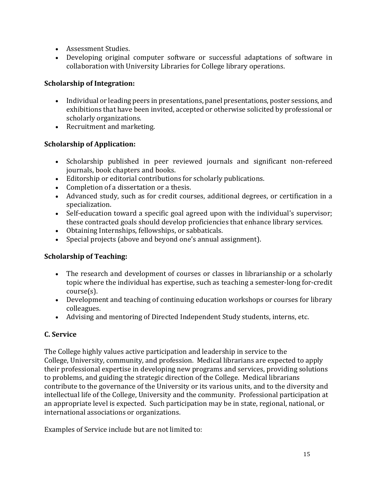- Assessment Studies.
- Developing original computer software or successful adaptations of software in collaboration with University Libraries for College library operations.

# **Scholarship of Integration:**

- Individual or leading peers in presentations, panel presentations, poster sessions, and exhibitions that have been invited, accepted or otherwise solicited by professional or scholarly organizations.
- Recruitment and marketing.

# **Scholarship of Application:**

- Scholarship published in peer reviewed journals and significant non-refereed journals, book chapters and books.
- Editorship or editorial contributions for scholarly publications.
- Completion of a dissertation or a thesis.
- Advanced study, such as for credit courses, additional degrees, or certification in a specialization.
- Self-education toward a specific goal agreed upon with the individual's supervisor; these contracted goals should develop proficiencies that enhance library services.
- Obtaining Internships, fellowships, or sabbaticals.
- Special projects (above and beyond one's annual assignment).

# **Scholarship of Teaching:**

- The research and development of courses or classes in librarianship or a scholarly topic where the individual has expertise, such as teaching a semester-long for-credit course(s).
- Development and teaching of continuing education workshops or courses for library colleagues.
- Advising and mentoring of Directed Independent Study students, interns, etc.

# **C. Service**

The College highly values active participation and leadership in service to the College, University, community, and profession. Medical librarians are expected to apply their professional expertise in developing new programs and services, providing solutions to problems, and guiding the strategic direction of the College. Medical librarians contribute to the governance of the University or its various units, and to the diversity and intellectual life of the College, University and the community. Professional participation at an appropriate level is expected. Such participation may be in state, regional, national, or international associations or organizations.

Examples of Service include but are not limited to: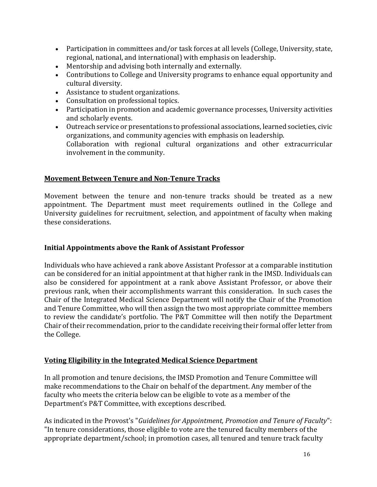- Participation in committees and/or task forces at all levels (College, University, state, regional, national, and international) with emphasis on leadership.
- Mentorship and advising both internally and externally.
- Contributions to College and University programs to enhance equal opportunity and cultural diversity.
- Assistance to student organizations.
- Consultation on professional topics.
- Participation in promotion and academic governance processes, University activities and scholarly events.
- Outreach service or presentations to professional associations, learned societies, civic organizations, and community agencies with emphasis on leadership. Collaboration with regional cultural organizations and other extracurricular involvement in the community.

## **Movement Between Tenure and Non-Tenure Tracks**

Movement between the tenure and non-tenure tracks should be treated as a new appointment. The Department must meet requirements outlined in the College and University guidelines for recruitment, selection, and appointment of faculty when making these considerations.

## **Initial Appointments above the Rank of Assistant Professor**

Individuals who have achieved a rank above Assistant Professor at a comparable institution can be considered for an initial appointment at that higher rank in the IMSD. Individuals can also be considered for appointment at a rank above Assistant Professor, or above their previous rank, when their accomplishments warrant this consideration. In such cases the Chair of the Integrated Medical Science Department will notify the Chair of the Promotion and Tenure Committee, who will then assign the two most appropriate committee members to review the candidate's portfolio. The P&T Committee will then notify the Department Chair of their recommendation, prior to the candidate receiving their formal offer letter from the College.

## **Voting Eligibility in the Integrated Medical Science Department**

In all promotion and tenure decisions, the IMSD Promotion and Tenure Committee will make recommendations to the Chair on behalf of the department. Any member of the faculty who meets the criteria below can be eligible to vote as a member of the Department's P&T Committee, with exceptions described.

As indicated in the Provost's "*Guidelines for Appointment, Promotion and Tenure of Faculty*": "In tenure considerations, those eligible to vote are the tenured faculty members of the appropriate department/school; in promotion cases, all tenured and tenure track faculty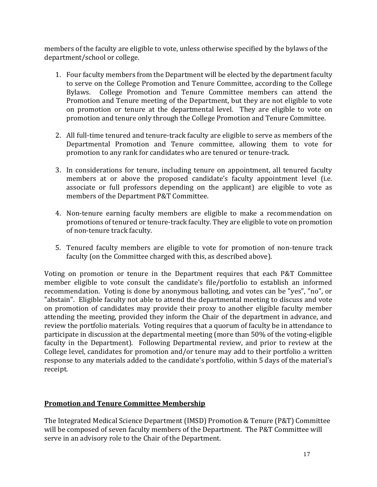members of the faculty are eligible to vote, unless otherwise specified by the bylaws of the department/school or college.

- 1. Four faculty members from the Department will be elected by the department faculty to serve on the College Promotion and Tenure Committee, according to the College Bylaws. College Promotion and Tenure Committee members can attend the Promotion and Tenure meeting of the Department, but they are not eligible to vote on promotion or tenure at the departmental level. They are eligible to vote on promotion and tenure only through the College Promotion and Tenure Committee.
- 2. All full-time tenured and tenure-track faculty are eligible to serve as members of the Departmental Promotion and Tenure committee, allowing them to vote for promotion to any rank for candidates who are tenured or tenure-track.
- 3. In considerations for tenure, including tenure on appointment, all tenured faculty members at or above the proposed candidate's faculty appointment level (i.e. associate or full professors depending on the applicant) are eligible to vote as members of the Department P&T Committee.
- 4. Non-tenure earning faculty members are eligible to make a recommendation on promotions of tenured or tenure-track faculty. They are eligible to vote on promotion of non-tenure track faculty.
- 5. Tenured faculty members are eligible to vote for promotion of non-tenure track faculty (on the Committee charged with this, as described above).

Voting on promotion or tenure in the Department requires that each P&T Committee member eligible to vote consult the candidate's file/portfolio to establish an informed recommendation. Voting is done by anonymous balloting, and votes can be "yes", "no", or "abstain". Eligible faculty not able to attend the departmental meeting to discuss and vote on promotion of candidates may provide their proxy to another eligible faculty member attending the meeting, provided they inform the Chair of the department in advance, and review the portfolio materials. Voting requires that a quorum of faculty be in attendance to participate in discussion at the departmental meeting (more than 50% of the voting-eligible faculty in the Department). Following Departmental review, and prior to review at the College level, candidates for promotion and/or tenure may add to their portfolio a written response to any materials added to the candidate's portfolio, within 5 days of the material's receipt.

# **Promotion and Tenure Committee Membership**

The Integrated Medical Science Department (IMSD) Promotion & Tenure (P&T) Committee will be composed of seven faculty members of the Department. The P&T Committee will serve in an advisory role to the Chair of the Department.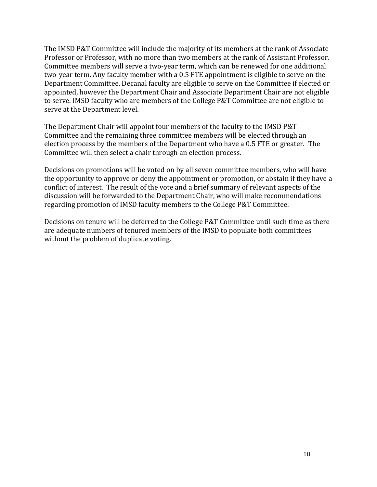The IMSD P&T Committee will include the majority of its members at the rank of Associate Professor or Professor, with no more than two members at the rank of Assistant Professor. Committee members will serve a two-year term, which can be renewed for one additional two-year term. Any faculty member with a 0.5 FTE appointment is eligible to serve on the Department Committee. Decanal faculty are eligible to serve on the Committee if elected or appointed, however the Department Chair and Associate Department Chair are not eligible to serve. IMSD faculty who are members of the College P&T Committee are not eligible to serve at the Department level.

The Department Chair will appoint four members of the faculty to the IMSD P&T Committee and the remaining three committee members will be elected through an election process by the members of the Department who have a 0.5 FTE or greater. The Committee will then select a chair through an election process.

Decisions on promotions will be voted on by all seven committee members, who will have the opportunity to approve or deny the appointment or promotion, or abstain if they have a conflict of interest. The result of the vote and a brief summary of relevant aspects of the discussion will be forwarded to the Department Chair, who will make recommendations regarding promotion of IMSD faculty members to the College P&T Committee.

Decisions on tenure will be deferred to the College P&T Committee until such time as there are adequate numbers of tenured members of the IMSD to populate both committees without the problem of duplicate voting.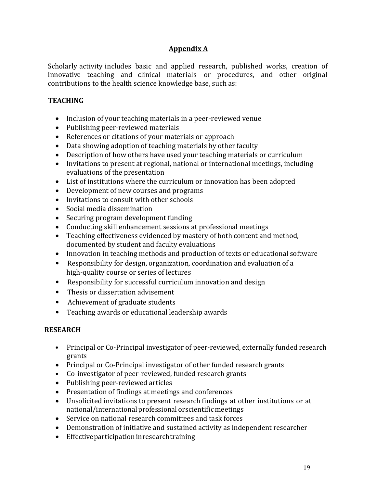# **Appendix A**

Scholarly activity includes basic and applied research, published works, creation of innovative teaching and clinical materials or procedures, and other original contributions to the health science knowledge base, such as:

## **TEACHING**

- Inclusion of your teaching materials in a peer-reviewed venue
- Publishing peer-reviewed materials
- References or citations of your materials or approach
- Data showing adoption of teaching materials by other faculty
- Description of how others have used your teaching materials or curriculum
- Invitations to present at regional, national or international meetings, including evaluations of the presentation
- List of institutions where the curriculum or innovation has been adopted
- Development of new courses and programs
- Invitations to consult with other schools
- Social media dissemination
- Securing program development funding
- Conducting skill enhancement sessions at professional meetings
- Teaching effectiveness evidenced by mastery of both content and method, documented by student and faculty evaluations
- Innovation in teaching methods and production of texts or educational software
- Responsibility for design, organization, coordination and evaluation of a high-quality course or series of lectures
- Responsibility for successful curriculum innovation and design
- Thesis or dissertation advisement
- Achievement of graduate students
- Teaching awards or educational leadership awards

## **RESEARCH**

- Principal or Co-Principal investigator of peer-reviewed, externally funded research grants
- Principal or Co-Principal investigator of other funded research grants
- Co-investigator of peer-reviewed, funded research grants
- Publishing peer-reviewed articles
- Presentation of findings at meetings and conferences
- Unsolicited invitations to present research findings at other institutions or at national/international professional orscientific meetings
- Service on national research committees and task forces
- Demonstration of initiative and sustained activity as independent researcher
- Effectiveparticipation inresearchtraining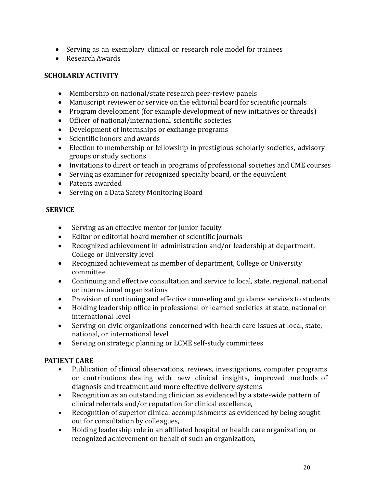- Serving as an exemplary clinical or research role model for trainees
- Research Awards

# **SCHOLARLY ACTIVITY**

- Membership on national/state research peer-review panels
- Manuscript reviewer or service on the editorial board for scientific journals
- Program development (for example development of new initiatives or threads)
- Officer of national/international scientific societies
- Development of internships or exchange programs
- Scientific honors and awards
- Election to membership or fellowship in prestigious scholarly societies, advisory groups or study sections
- Invitations to direct or teach in programs of professional societies and CME courses
- Serving as examiner for recognized specialty board, or the equivalent
- Patents awarded
- Serving on a Data Safety Monitoring Board

## **SERVICE**

- Serving as an effective mentor for junior faculty
- Editor or editorial board member of scientific journals
- Recognized achievement in administration and/or leadership at department, College or University level
- Recognized achievement as member of department, College or University committee
- Continuing and effective consultation and service to local, state, regional, national or international organizations
- Provision of continuing and effective counseling and guidance services to students
- Holding leadership office in professional or learned societies at state, national or international level
- Serving on civic organizations concerned with health care issues at local, state, national, or international level
- Serving on strategic planning or LCME self-study committees

# **PATIENT CARE**

- Publication of clinical observations, reviews, investigations, computer programs or contributions dealing with new clinical insights, improved methods of diagnosis and treatment and more effective delivery systems
- Recognition as an outstanding clinician as evidenced by a state-wide pattern of clinical referrals and/or reputation for clinical excellence,
- Recognition of superior clinical accomplishments as evidenced by being sought out for consultation by colleagues,
- Holding leadership role in an affiliated hospital or health care organization, or recognized achievement on behalf of such an organization,